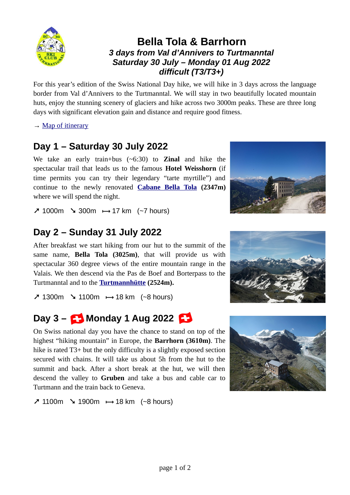

### **Bella Tola & Barrhorn** *3 days from Val d'Annivers to Turtmanntal Saturday 30 July – Monday 01 Aug 2022 difficult (T3/T3+)*

For this year's edition of the Swiss National Day hike, we will hike in 3 days across the language border from Val d'Annivers to the Turtmanntal. We will stay in two beautifully located mountain huts, enjoy the stunning scenery of glaciers and hike across two 3000m peaks. These are three long days with significant elevation gain and distance and require good fitness.

 $\rightarrow$  [Map of itinerary](https://www.outdooractive.com/en/route/hiking-route/scig-bella-tola-barrhorn/238878095/?share=~zsguutct$4ossuxpg)

## **Day 1 – Saturday 30 July 2022**

We take an early train+bus (~6:30) to **Zinal** and hike the spectacular trail that leads us to the famous **Hotel Weisshorn** (if time permits you can try their legendary "tarte myrtille") and continue to the newly renovated **[Cabane Bella Tola](https://cabanebellatola.ch/) (2347m)** where we will spend the night.



**➚** 1000m **➘** 300m **<sup>⟼</sup>** 17 km (~7 hours)

## **Day 2 – Sunday 31 July 2022**

After breakfast we start hiking from our hut to the summit of the same name, **Bella Tola (3025m)**, that will provide us with spectacular 360 degree views of the entire mountain range in the Valais. We then descend via the Pas de Boef and Borterpass to the Turtmanntal and to the **[Turtmannhütte](https://www.cas-prevotoise.ch/cabanes/cabane-de-tourtemagne.php) (2524m).**

**➚** 1300m **➘** 1100m **<sup>⟼</sup>** 18 km (~8 hours)

## **Day 3 – Monday 1 Aug 2022**

On Swiss national day you have the chance to stand on top of the highest "hiking mountain" in Europe, the **Barrhorn (3610m)**. The hike is rated T3+ but the only difficulty is a slightly exposed section secured with chains. It will take us about 5h from the hut to the summit and back. After a short break at the hut, we will then descend the valley to **Gruben** and take a bus and cable car to Turtmann and the train back to Geneva.

**➚** 1100m **➘** 1900m **<sup>⟼</sup>** 18 km (~8 hours)